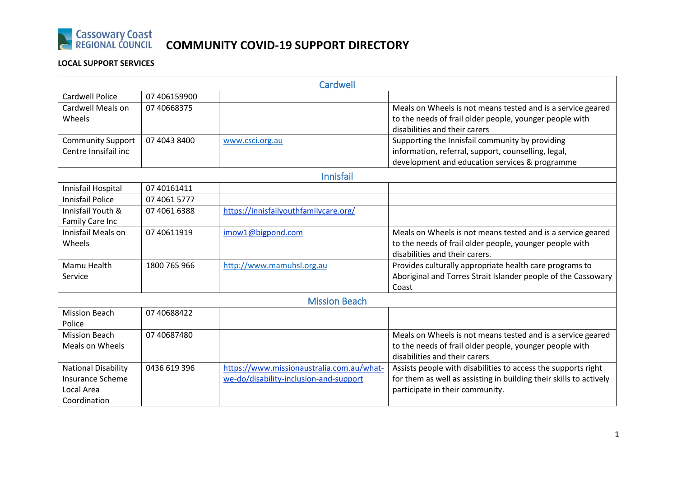

# **Cassowary Coast COMMUNITY COVID-19 SUPPORT DIRECTORY**

### **LOCAL SUPPORT SERVICES**

| <b>Cardwell</b>                                                                     |              |                                                                                     |                                                                                                                                                                        |  |
|-------------------------------------------------------------------------------------|--------------|-------------------------------------------------------------------------------------|------------------------------------------------------------------------------------------------------------------------------------------------------------------------|--|
| <b>Cardwell Police</b>                                                              | 07 406159900 |                                                                                     |                                                                                                                                                                        |  |
| Cardwell Meals on<br>Wheels                                                         | 07 40668375  |                                                                                     | Meals on Wheels is not means tested and is a service geared<br>to the needs of frail older people, younger people with<br>disabilities and their carers                |  |
| <b>Community Support</b><br>Centre Innsifail inc                                    | 07 4043 8400 | www.csci.org.au                                                                     | Supporting the Innisfail community by providing<br>information, referral, support, counselling, legal,<br>development and education services & programme               |  |
|                                                                                     |              | <b>Innisfail</b>                                                                    |                                                                                                                                                                        |  |
| Innisfail Hospital                                                                  | 07 40161411  |                                                                                     |                                                                                                                                                                        |  |
| <b>Innisfail Police</b>                                                             | 07 4061 5777 |                                                                                     |                                                                                                                                                                        |  |
| Innisfail Youth &<br>Family Care Inc                                                | 07 4061 6388 | https://innisfailyouthfamilycare.org/                                               |                                                                                                                                                                        |  |
| Innisfail Meals on<br>Wheels                                                        | 07 40611919  | imow1@bigpond.com                                                                   | Meals on Wheels is not means tested and is a service geared<br>to the needs of frail older people, younger people with<br>disabilities and their carers.               |  |
| Mamu Health<br>Service                                                              | 1800 765 966 | http://www.mamuhsl.org.au                                                           | Provides culturally appropriate health care programs to<br>Aboriginal and Torres Strait Islander people of the Cassowary<br>Coast                                      |  |
| <b>Mission Beach</b>                                                                |              |                                                                                     |                                                                                                                                                                        |  |
| <b>Mission Beach</b><br>Police                                                      | 07 40688422  |                                                                                     |                                                                                                                                                                        |  |
| <b>Mission Beach</b><br><b>Meals on Wheels</b>                                      | 07 40687480  |                                                                                     | Meals on Wheels is not means tested and is a service geared<br>to the needs of frail older people, younger people with<br>disabilities and their carers                |  |
| <b>National Disability</b><br><b>Insurance Scheme</b><br>Local Area<br>Coordination | 0436 619 396 | https://www.missionaustralia.com.au/what-<br>we-do/disability-inclusion-and-support | Assists people with disabilities to access the supports right<br>for them as well as assisting in building their skills to actively<br>participate in their community. |  |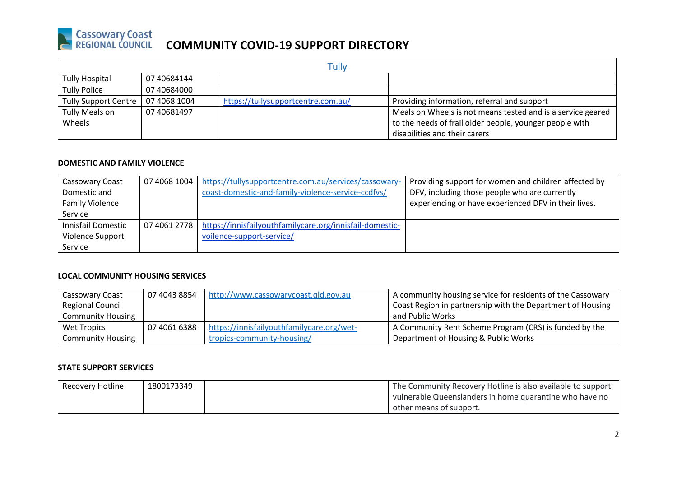## **Cassowary Coast COMMUNITY COVID-19 SUPPORT DIRECTORY**

| Tullv                       |              |                                    |                                                             |
|-----------------------------|--------------|------------------------------------|-------------------------------------------------------------|
| Tully Hospital              | 07 40684144  |                                    |                                                             |
| <b>Tully Police</b>         | 07 40684000  |                                    |                                                             |
| <b>Tully Support Centre</b> | 07 4068 1004 | https://tullysupportcentre.com.au/ | Providing information, referral and support                 |
| Tully Meals on              | 07 40681497  |                                    | Meals on Wheels is not means tested and is a service geared |
| Wheels                      |              |                                    | to the needs of frail older people, younger people with     |
|                             |              |                                    | disabilities and their carers                               |

#### **DOMESTIC AND FAMILY VIOLENCE**

| Cassowary Coast        | 07 4068 1004 | https://tullysupportcentre.com.au/services/cassowary-                   | Providing support for women and children affected by |
|------------------------|--------------|-------------------------------------------------------------------------|------------------------------------------------------|
| Domestic and           |              | coast-domestic-and-family-violence-service-ccdfvs/                      | DFV, including those people who are currently        |
| <b>Family Violence</b> |              |                                                                         | experiencing or have experienced DFV in their lives. |
| Service                |              |                                                                         |                                                      |
| Innisfail Domestic     |              | 07 4061 2778   https://innisfailyouthfamilycare.org/innisfail-domestic- |                                                      |
| Violence Support       |              | voilence-support-service/                                               |                                                      |
| Service                |              |                                                                         |                                                      |

#### **LOCAL COMMUNITY HOUSING SERVICES**

| Cassowary Coast          | 07 4043 8854 | http://www.cassowarycoast.qld.gov.au      | A community housing service for residents of the Cassowary |
|--------------------------|--------------|-------------------------------------------|------------------------------------------------------------|
| <b>Regional Council</b>  |              |                                           | Coast Region in partnership with the Department of Housing |
| <b>Community Housing</b> |              |                                           | and Public Works                                           |
| Wet Tropics              | 07 4061 6388 | https://innisfailyouthfamilycare.org/wet- | A Community Rent Scheme Program (CRS) is funded by the     |
| <b>Community Housing</b> |              | tropics-community-housing/                | Department of Housing & Public Works                       |

#### **STATE SUPPORT SERVICES**

| Recovery Hotline | 1800173349 | <sup>1</sup> The Community Recovery Hotline is also available to support |
|------------------|------------|--------------------------------------------------------------------------|
|                  |            | vulnerable Queenslanders in home quarantine who have no                  |
|                  |            | other means of support.                                                  |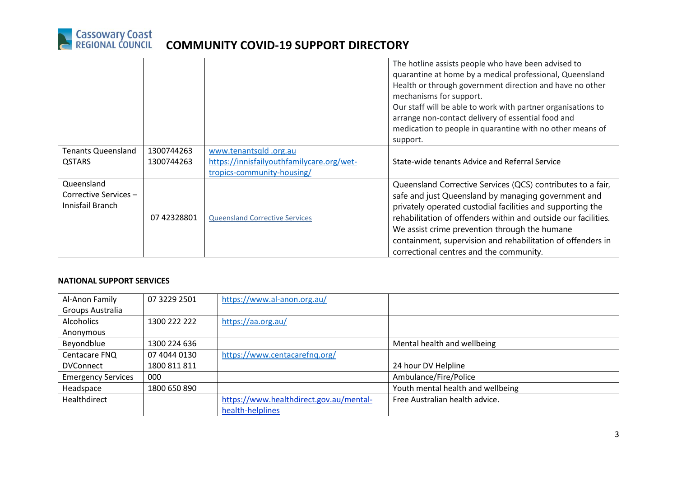

|                           |             |                                           | The hotline assists people who have been advised to            |
|---------------------------|-------------|-------------------------------------------|----------------------------------------------------------------|
|                           |             |                                           | quarantine at home by a medical professional, Queensland       |
|                           |             |                                           | Health or through government direction and have no other       |
|                           |             |                                           | mechanisms for support.                                        |
|                           |             |                                           | Our staff will be able to work with partner organisations to   |
|                           |             |                                           | arrange non-contact delivery of essential food and             |
|                           |             |                                           | medication to people in quarantine with no other means of      |
|                           |             |                                           | support.                                                       |
| <b>Tenants Queensland</b> | 1300744263  | www.tenantsqld.org.au                     |                                                                |
| <b>QSTARS</b>             | 1300744263  | https://innisfailyouthfamilycare.org/wet- | State-wide tenants Advice and Referral Service                 |
|                           |             | tropics-community-housing/                |                                                                |
| Queensland                |             |                                           | Queensland Corrective Services (QCS) contributes to a fair,    |
| Corrective Services-      |             |                                           | safe and just Queensland by managing government and            |
| Innisfail Branch          |             |                                           | privately operated custodial facilities and supporting the     |
|                           | 07 42328801 | <b>Queensland Corrective Services</b>     | rehabilitation of offenders within and outside our facilities. |
|                           |             |                                           | We assist crime prevention through the humane                  |
|                           |             |                                           | containment, supervision and rehabilitation of offenders in    |
|                           |             |                                           | correctional centres and the community.                        |

#### **NATIONAL SUPPORT SERVICES**

| Al-Anon Family            | 07 3229 2501 | https://www.al-anon.org.au/             |                                   |
|---------------------------|--------------|-----------------------------------------|-----------------------------------|
| Groups Australia          |              |                                         |                                   |
| <b>Alcoholics</b>         | 1300 222 222 | https://aa.org.au/                      |                                   |
| Anonymous                 |              |                                         |                                   |
| Beyondblue                | 1300 224 636 |                                         | Mental health and wellbeing       |
| Centacare FNQ             | 07 4044 0130 | https://www.centacarefnq.org/           |                                   |
| <b>DVConnect</b>          | 1800 811 811 |                                         | 24 hour DV Helpline               |
| <b>Emergency Services</b> | 000          |                                         | Ambulance/Fire/Police             |
| Headspace                 | 1800 650 890 |                                         | Youth mental health and wellbeing |
| Healthdirect              |              | https://www.healthdirect.gov.au/mental- | Free Australian health advice.    |
|                           |              | health-helplines                        |                                   |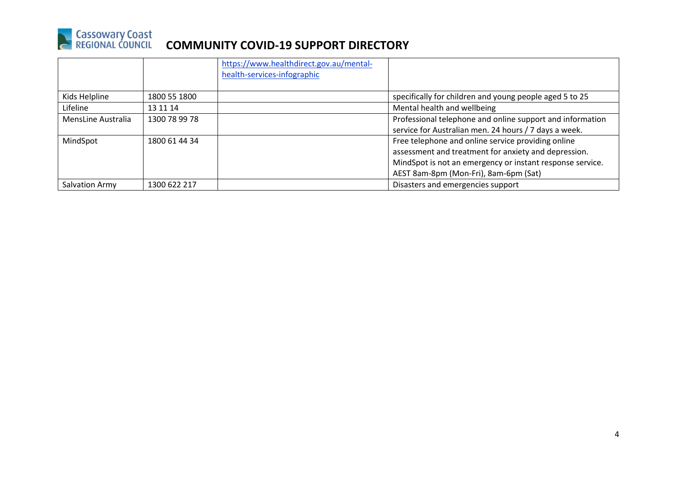

|                    |               | https://www.healthdirect.gov.au/mental-<br>health-services-infographic |                                                           |
|--------------------|---------------|------------------------------------------------------------------------|-----------------------------------------------------------|
| Kids Helpline      | 1800 55 1800  |                                                                        | specifically for children and young people aged 5 to 25   |
| Lifeline           | 13 11 14      |                                                                        | Mental health and wellbeing                               |
| MensLine Australia | 1300 78 99 78 |                                                                        | Professional telephone and online support and information |
|                    |               |                                                                        | service for Australian men. 24 hours / 7 days a week.     |
| MindSpot           | 1800 61 44 34 |                                                                        | Free telephone and online service providing online        |
|                    |               |                                                                        | assessment and treatment for anxiety and depression.      |
|                    |               |                                                                        | MindSpot is not an emergency or instant response service. |
|                    |               |                                                                        | AEST 8am-8pm (Mon-Fri), 8am-6pm (Sat)                     |
| Salvation Army     | 1300 622 217  |                                                                        | Disasters and emergencies support                         |